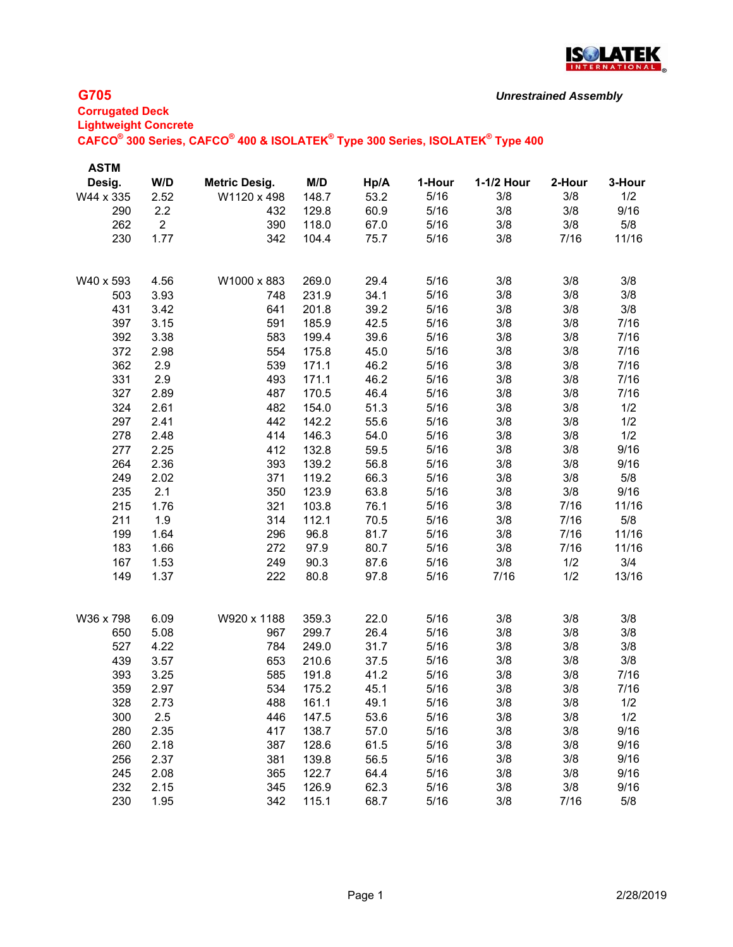

| <b>ASTM</b> |                |                      |       |      |        |            |        |        |
|-------------|----------------|----------------------|-------|------|--------|------------|--------|--------|
| Desig.      | W/D            | <b>Metric Desig.</b> | M/D   | Hp/A | 1-Hour | 1-1/2 Hour | 2-Hour | 3-Hour |
| W44 x 335   | 2.52           | W1120 x 498          | 148.7 | 53.2 | 5/16   | 3/8        | 3/8    | 1/2    |
| 290         | 2.2            | 432                  | 129.8 | 60.9 | 5/16   | 3/8        | 3/8    | 9/16   |
| 262         | $\overline{2}$ | 390                  | 118.0 | 67.0 | 5/16   | 3/8        | 3/8    | 5/8    |
| 230         | 1.77           | 342                  | 104.4 | 75.7 | 5/16   | 3/8        | 7/16   | 11/16  |
| W40 x 593   | 4.56           | W1000 x 883          | 269.0 | 29.4 | 5/16   | 3/8        | 3/8    | 3/8    |
| 503         | 3.93           | 748                  | 231.9 | 34.1 | 5/16   | 3/8        | 3/8    | 3/8    |
| 431         | 3.42           | 641                  | 201.8 | 39.2 | 5/16   | 3/8        | 3/8    | 3/8    |
| 397         | 3.15           | 591                  | 185.9 | 42.5 | 5/16   | 3/8        | 3/8    | 7/16   |
| 392         | 3.38           | 583                  | 199.4 | 39.6 | 5/16   | 3/8        | 3/8    | 7/16   |
| 372         | 2.98           | 554                  | 175.8 | 45.0 | 5/16   | 3/8        | 3/8    | 7/16   |
| 362         | 2.9            | 539                  | 171.1 | 46.2 | 5/16   | 3/8        | 3/8    | 7/16   |
| 331         | 2.9            | 493                  | 171.1 | 46.2 | 5/16   | 3/8        | 3/8    | 7/16   |
| 327         | 2.89           | 487                  | 170.5 | 46.4 | 5/16   | 3/8        | 3/8    | 7/16   |
| 324         | 2.61           | 482                  | 154.0 | 51.3 | 5/16   | 3/8        | 3/8    | 1/2    |
| 297         | 2.41           | 442                  | 142.2 | 55.6 | 5/16   | 3/8        | 3/8    | 1/2    |
| 278         | 2.48           | 414                  | 146.3 | 54.0 | 5/16   | 3/8        | 3/8    | 1/2    |
| 277         | 2.25           | 412                  | 132.8 | 59.5 | 5/16   | 3/8        | 3/8    | 9/16   |
| 264         | 2.36           | 393                  | 139.2 | 56.8 | 5/16   | 3/8        | 3/8    | 9/16   |
| 249         | 2.02           | 371                  | 119.2 | 66.3 | 5/16   | 3/8        | 3/8    | 5/8    |
| 235         | 2.1            | 350                  | 123.9 | 63.8 | 5/16   | 3/8        | 3/8    | 9/16   |
| 215         | 1.76           | 321                  | 103.8 | 76.1 | 5/16   | 3/8        | 7/16   | 11/16  |
| 211         | 1.9            | 314                  | 112.1 | 70.5 | 5/16   | 3/8        | 7/16   | 5/8    |
| 199         | 1.64           | 296                  | 96.8  | 81.7 | 5/16   | 3/8        | 7/16   | 11/16  |
| 183         | 1.66           | 272                  | 97.9  | 80.7 | 5/16   | 3/8        | 7/16   | 11/16  |
| 167         | 1.53           | 249                  | 90.3  | 87.6 | 5/16   | 3/8        | 1/2    | 3/4    |
| 149         | 1.37           | 222                  | 80.8  | 97.8 | 5/16   | 7/16       | 1/2    | 13/16  |
| W36 x 798   | 6.09           | W920 x 1188          | 359.3 | 22.0 | 5/16   | 3/8        | 3/8    | 3/8    |
| 650         | 5.08           | 967                  | 299.7 | 26.4 | 5/16   | 3/8        | 3/8    | 3/8    |
| 527         | 4.22           | 784                  | 249.0 | 31.7 | 5/16   | 3/8        | 3/8    | 3/8    |
| 439         | 3.57           | 653                  | 210.6 | 37.5 | 5/16   | 3/8        | 3/8    | 3/8    |
| 393         | 3.25           | 585                  | 191.8 | 41.2 | 5/16   | 3/8        | 3/8    | 7/16   |
| 359         | 2.97           | 534                  | 175.2 | 45.1 | 5/16   | 3/8        | 3/8    | 7/16   |
| 328         | 2.73           | 488                  | 161.1 | 49.1 | 5/16   | 3/8        | 3/8    | 1/2    |
| 300         | 2.5            | 446                  | 147.5 | 53.6 | 5/16   | 3/8        | 3/8    | 1/2    |
| 280         | 2.35           | 417                  | 138.7 | 57.0 | 5/16   | 3/8        | 3/8    | 9/16   |
| 260         | 2.18           | 387                  | 128.6 | 61.5 | 5/16   | 3/8        | 3/8    | 9/16   |
| 256         | 2.37           | 381                  | 139.8 | 56.5 | 5/16   | 3/8        | 3/8    | 9/16   |
| 245         | 2.08           | 365                  | 122.7 | 64.4 | 5/16   | 3/8        | 3/8    | 9/16   |
| 232         | 2.15           | 345                  | 126.9 | 62.3 | 5/16   | 3/8        | 3/8    | 9/16   |
| 230         | 1.95           | 342                  | 115.1 | 68.7 | 5/16   | 3/8        | 7/16   | 5/8    |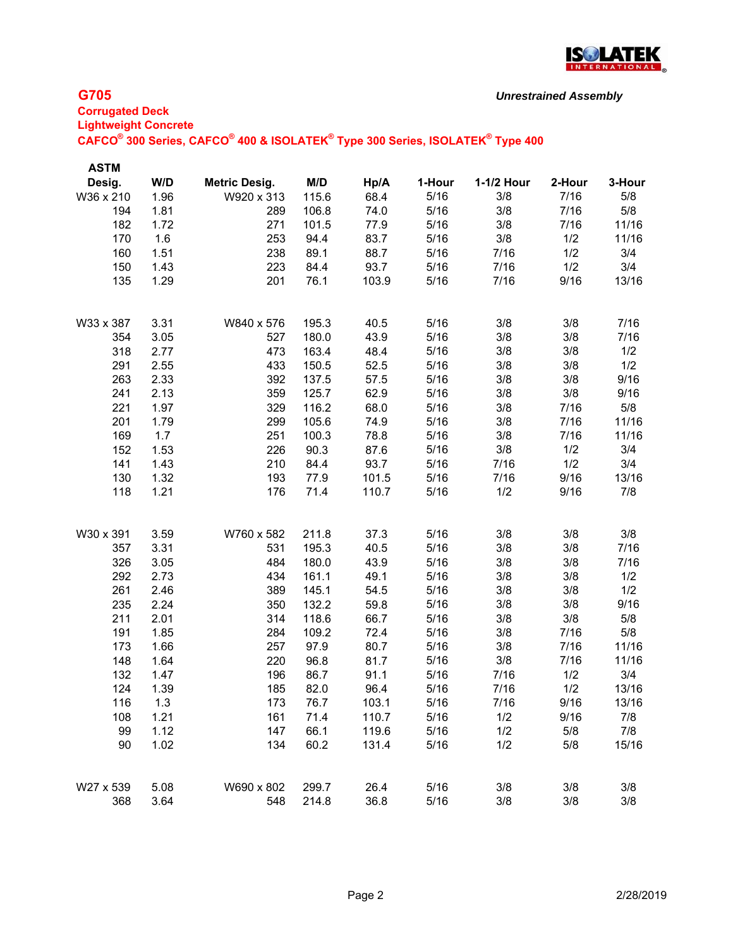

| <b>ASTM</b> |      |                      |       |       |        |            |        |        |
|-------------|------|----------------------|-------|-------|--------|------------|--------|--------|
| Desig.      | W/D  | <b>Metric Desig.</b> | M/D   | Hp/A  | 1-Hour | 1-1/2 Hour | 2-Hour | 3-Hour |
| W36 x 210   | 1.96 | W920 x 313           | 115.6 | 68.4  | 5/16   | 3/8        | 7/16   | 5/8    |
| 194         | 1.81 | 289                  | 106.8 | 74.0  | 5/16   | 3/8        | 7/16   | 5/8    |
| 182         | 1.72 | 271                  | 101.5 | 77.9  | 5/16   | 3/8        | 7/16   | 11/16  |
| 170         | 1.6  | 253                  | 94.4  | 83.7  | 5/16   | 3/8        | 1/2    | 11/16  |
| 160         | 1.51 | 238                  | 89.1  | 88.7  | 5/16   | 7/16       | 1/2    | 3/4    |
| 150         | 1.43 | 223                  | 84.4  | 93.7  | 5/16   | 7/16       | 1/2    | 3/4    |
| 135         | 1.29 | 201                  | 76.1  | 103.9 | 5/16   | 7/16       | 9/16   | 13/16  |
| W33 x 387   | 3.31 | W840 x 576           | 195.3 | 40.5  | 5/16   | 3/8        | 3/8    | 7/16   |
| 354         | 3.05 | 527                  | 180.0 | 43.9  | 5/16   | 3/8        | 3/8    | 7/16   |
| 318         | 2.77 | 473                  | 163.4 | 48.4  | 5/16   | 3/8        | 3/8    | 1/2    |
| 291         | 2.55 | 433                  | 150.5 | 52.5  | 5/16   | 3/8        | 3/8    | 1/2    |
| 263         | 2.33 | 392                  | 137.5 | 57.5  | 5/16   | 3/8        | 3/8    | 9/16   |
| 241         | 2.13 | 359                  | 125.7 | 62.9  | 5/16   | 3/8        | 3/8    | 9/16   |
| 221         | 1.97 | 329                  | 116.2 | 68.0  | 5/16   | 3/8        | 7/16   | 5/8    |
| 201         | 1.79 | 299                  | 105.6 | 74.9  | 5/16   | 3/8        | 7/16   | 11/16  |
| 169         | 1.7  | 251                  | 100.3 | 78.8  | 5/16   | 3/8        | 7/16   | 11/16  |
| 152         | 1.53 | 226                  | 90.3  | 87.6  | 5/16   | 3/8        | 1/2    | 3/4    |
| 141         | 1.43 | 210                  | 84.4  | 93.7  | 5/16   | 7/16       | 1/2    | 3/4    |
| 130         | 1.32 | 193                  | 77.9  | 101.5 | 5/16   | 7/16       | 9/16   | 13/16  |
| 118         | 1.21 | 176                  | 71.4  | 110.7 | 5/16   | 1/2        | 9/16   | 7/8    |
| W30 x 391   | 3.59 | W760 x 582           | 211.8 | 37.3  | 5/16   | 3/8        | 3/8    | 3/8    |
| 357         | 3.31 | 531                  | 195.3 | 40.5  | 5/16   | 3/8        | 3/8    | 7/16   |
| 326         | 3.05 | 484                  | 180.0 | 43.9  | 5/16   | 3/8        | 3/8    | 7/16   |
| 292         | 2.73 | 434                  | 161.1 | 49.1  | 5/16   | 3/8        | 3/8    | 1/2    |
| 261         | 2.46 | 389                  | 145.1 | 54.5  | 5/16   | 3/8        | 3/8    | 1/2    |
| 235         | 2.24 | 350                  | 132.2 | 59.8  | 5/16   | 3/8        | 3/8    | 9/16   |
| 211         | 2.01 | 314                  | 118.6 | 66.7  | 5/16   | 3/8        | 3/8    | 5/8    |
| 191         | 1.85 | 284                  | 109.2 | 72.4  | 5/16   | 3/8        | 7/16   | 5/8    |
| 173         | 1.66 | 257                  | 97.9  | 80.7  | 5/16   | 3/8        | 7/16   | 11/16  |
| 148         | 1.64 | 220                  | 96.8  | 81.7  | 5/16   | 3/8        | 7/16   | 11/16  |
| 132         | 1.47 | 196                  | 86.7  | 91.1  | 5/16   | 7/16       | 1/2    | 3/4    |
| 124         | 1.39 | 185                  | 82.0  | 96.4  | 5/16   | 7/16       | 1/2    | 13/16  |
| 116         | 1.3  | 173                  | 76.7  | 103.1 | 5/16   | 7/16       | 9/16   | 13/16  |
| 108         | 1.21 | 161                  | 71.4  | 110.7 | 5/16   | 1/2        | 9/16   | 7/8    |
| 99          | 1.12 | 147                  | 66.1  | 119.6 | 5/16   | 1/2        | 5/8    | 7/8    |
| 90          | 1.02 | 134                  | 60.2  | 131.4 | 5/16   | 1/2        | 5/8    | 15/16  |
| W27 x 539   | 5.08 | W690 x 802           | 299.7 | 26.4  | 5/16   | 3/8        | 3/8    | 3/8    |
| 368         | 3.64 | 548                  | 214.8 | 36.8  | 5/16   | 3/8        | 3/8    | 3/8    |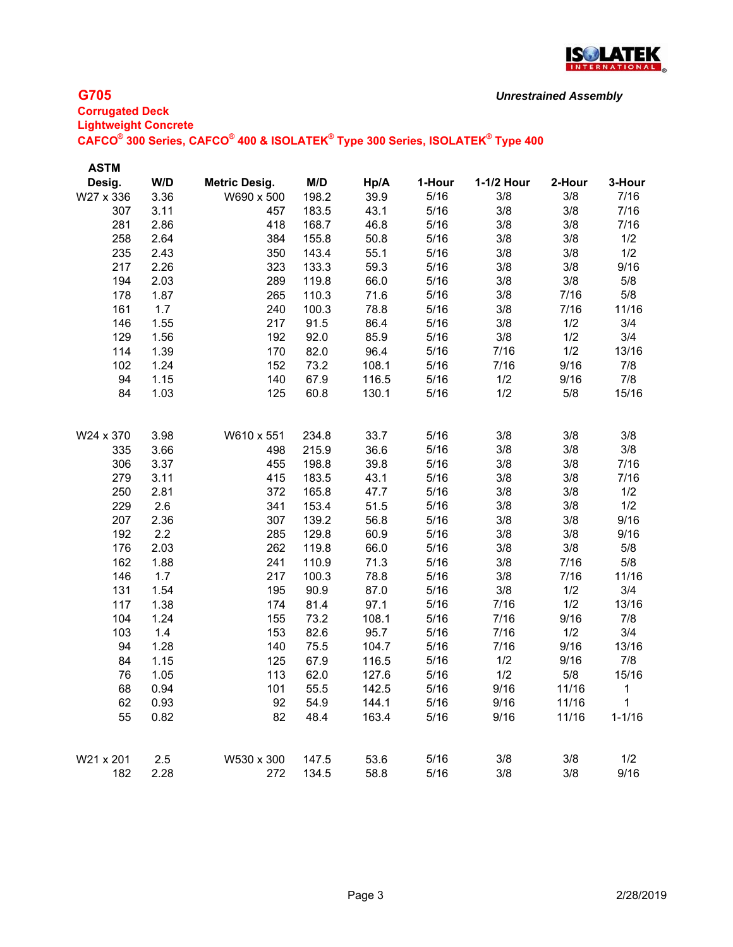

#### *Unrestrained Assembly*

#### **G705**

**Corrugated Deck Lightweight Concrete CAFCO® 300 Series, CAFCO® 400 & ISOLATEK® Type 300 Series, ISOLATEK® Type 400**

| <b>ASTM</b><br>W/D<br>M/D<br>1-1/2 Hour<br>2-Hour<br>3-Hour<br>Desig.<br><b>Metric Desig.</b><br>Hp/A<br>1-Hour<br>198.2<br>39.9<br>7/16<br>W27 x 336<br>3.36<br>W690 x 500<br>5/16<br>3/8<br>3/8<br>3/8<br>307<br>3.11<br>457<br>183.5<br>43.1<br>5/16<br>3/8<br>7/16<br>5/16<br>3/8<br>3/8<br>7/16<br>281<br>2.86<br>418<br>168.7<br>46.8<br>258<br>2.64<br>384<br>155.8<br>50.8<br>5/16<br>3/8<br>3/8<br>1/2<br>55.1<br>235<br>2.43<br>350<br>143.4<br>5/16<br>3/8<br>3/8<br>1/2<br>5/16<br>3/8<br>3/8<br>9/16<br>217<br>2.26<br>323<br>133.3<br>59.3<br>5/8<br>194<br>2.03<br>119.8<br>66.0<br>5/16<br>3/8<br>3/8<br>289<br>110.3<br>5/16<br>3/8<br>7/16<br>5/8<br>178<br>1.87<br>265<br>71.6<br>100.3<br>78.8<br>5/16<br>3/8<br>161<br>1.7<br>240<br>7/16<br>11/16<br>1.55<br>3/8<br>1/2<br>3/4<br>146<br>217<br>91.5<br>86.4<br>5/16<br>3/4<br>5/16<br>3/8<br>1/2<br>129<br>1.56<br>192<br>92.0<br>85.9<br>114<br>1.39<br>82.0<br>96.4<br>5/16<br>7/16<br>1/2<br>13/16<br>170<br>1.24<br>73.2<br>5/16<br>9/16<br>7/8<br>102<br>152<br>108.1<br>7/16<br>7/8<br>5/16<br>1/2<br>9/16<br>94<br>1.15<br>67.9<br>116.5<br>140<br>84<br>1.03<br>60.8<br>5/16<br>1/2<br>5/8<br>15/16<br>125<br>130.1<br>33.7<br>5/16<br>3/8<br>3/8<br>W24 x 370<br>3.98<br>W610 x 551<br>234.8<br>3/8<br>36.6<br>5/16<br>3/8<br>335<br>3.66<br>215.9<br>3/8<br>3/8<br>498<br>39.8<br>3/8<br>306<br>3.37<br>455<br>198.8<br>5/16<br>3/8<br>7/16<br>279<br>3.11<br>183.5<br>43.1<br>3/8<br>3/8<br>415<br>5/16<br>7/16<br>5/16<br>3/8<br>3/8<br>250<br>2.81<br>165.8<br>47.7<br>1/2<br>372<br>229<br>2.6<br>153.4<br>3/8<br>1/2<br>341<br>51.5<br>5/16<br>3/8<br>2.36<br>56.8<br>3/8<br>3/8<br>9/16<br>207<br>307<br>139.2<br>5/16<br>5/16<br>3/8<br>3/8<br>9/16<br>192<br>2.2<br>285<br>129.8<br>60.9<br>3/8<br>5/8<br>176<br>2.03<br>262<br>119.8<br>66.0<br>5/16<br>3/8<br>110.9<br>5/16<br>3/8<br>5/8<br>162<br>1.88<br>241<br>71.3<br>7/16 |
|----------------------------------------------------------------------------------------------------------------------------------------------------------------------------------------------------------------------------------------------------------------------------------------------------------------------------------------------------------------------------------------------------------------------------------------------------------------------------------------------------------------------------------------------------------------------------------------------------------------------------------------------------------------------------------------------------------------------------------------------------------------------------------------------------------------------------------------------------------------------------------------------------------------------------------------------------------------------------------------------------------------------------------------------------------------------------------------------------------------------------------------------------------------------------------------------------------------------------------------------------------------------------------------------------------------------------------------------------------------------------------------------------------------------------------------------------------------------------------------------------------------------------------------------------------------------------------------------------------------------------------------------------------------------------------------------------------------------------------------------------------------------------------------------------------------------------------------------------------------------------------------------------------------------------|
|                                                                                                                                                                                                                                                                                                                                                                                                                                                                                                                                                                                                                                                                                                                                                                                                                                                                                                                                                                                                                                                                                                                                                                                                                                                                                                                                                                                                                                                                                                                                                                                                                                                                                                                                                                                                                                                                                                                            |
|                                                                                                                                                                                                                                                                                                                                                                                                                                                                                                                                                                                                                                                                                                                                                                                                                                                                                                                                                                                                                                                                                                                                                                                                                                                                                                                                                                                                                                                                                                                                                                                                                                                                                                                                                                                                                                                                                                                            |
|                                                                                                                                                                                                                                                                                                                                                                                                                                                                                                                                                                                                                                                                                                                                                                                                                                                                                                                                                                                                                                                                                                                                                                                                                                                                                                                                                                                                                                                                                                                                                                                                                                                                                                                                                                                                                                                                                                                            |
|                                                                                                                                                                                                                                                                                                                                                                                                                                                                                                                                                                                                                                                                                                                                                                                                                                                                                                                                                                                                                                                                                                                                                                                                                                                                                                                                                                                                                                                                                                                                                                                                                                                                                                                                                                                                                                                                                                                            |
|                                                                                                                                                                                                                                                                                                                                                                                                                                                                                                                                                                                                                                                                                                                                                                                                                                                                                                                                                                                                                                                                                                                                                                                                                                                                                                                                                                                                                                                                                                                                                                                                                                                                                                                                                                                                                                                                                                                            |
|                                                                                                                                                                                                                                                                                                                                                                                                                                                                                                                                                                                                                                                                                                                                                                                                                                                                                                                                                                                                                                                                                                                                                                                                                                                                                                                                                                                                                                                                                                                                                                                                                                                                                                                                                                                                                                                                                                                            |
|                                                                                                                                                                                                                                                                                                                                                                                                                                                                                                                                                                                                                                                                                                                                                                                                                                                                                                                                                                                                                                                                                                                                                                                                                                                                                                                                                                                                                                                                                                                                                                                                                                                                                                                                                                                                                                                                                                                            |
|                                                                                                                                                                                                                                                                                                                                                                                                                                                                                                                                                                                                                                                                                                                                                                                                                                                                                                                                                                                                                                                                                                                                                                                                                                                                                                                                                                                                                                                                                                                                                                                                                                                                                                                                                                                                                                                                                                                            |
|                                                                                                                                                                                                                                                                                                                                                                                                                                                                                                                                                                                                                                                                                                                                                                                                                                                                                                                                                                                                                                                                                                                                                                                                                                                                                                                                                                                                                                                                                                                                                                                                                                                                                                                                                                                                                                                                                                                            |
|                                                                                                                                                                                                                                                                                                                                                                                                                                                                                                                                                                                                                                                                                                                                                                                                                                                                                                                                                                                                                                                                                                                                                                                                                                                                                                                                                                                                                                                                                                                                                                                                                                                                                                                                                                                                                                                                                                                            |
|                                                                                                                                                                                                                                                                                                                                                                                                                                                                                                                                                                                                                                                                                                                                                                                                                                                                                                                                                                                                                                                                                                                                                                                                                                                                                                                                                                                                                                                                                                                                                                                                                                                                                                                                                                                                                                                                                                                            |
|                                                                                                                                                                                                                                                                                                                                                                                                                                                                                                                                                                                                                                                                                                                                                                                                                                                                                                                                                                                                                                                                                                                                                                                                                                                                                                                                                                                                                                                                                                                                                                                                                                                                                                                                                                                                                                                                                                                            |
|                                                                                                                                                                                                                                                                                                                                                                                                                                                                                                                                                                                                                                                                                                                                                                                                                                                                                                                                                                                                                                                                                                                                                                                                                                                                                                                                                                                                                                                                                                                                                                                                                                                                                                                                                                                                                                                                                                                            |
|                                                                                                                                                                                                                                                                                                                                                                                                                                                                                                                                                                                                                                                                                                                                                                                                                                                                                                                                                                                                                                                                                                                                                                                                                                                                                                                                                                                                                                                                                                                                                                                                                                                                                                                                                                                                                                                                                                                            |
|                                                                                                                                                                                                                                                                                                                                                                                                                                                                                                                                                                                                                                                                                                                                                                                                                                                                                                                                                                                                                                                                                                                                                                                                                                                                                                                                                                                                                                                                                                                                                                                                                                                                                                                                                                                                                                                                                                                            |
|                                                                                                                                                                                                                                                                                                                                                                                                                                                                                                                                                                                                                                                                                                                                                                                                                                                                                                                                                                                                                                                                                                                                                                                                                                                                                                                                                                                                                                                                                                                                                                                                                                                                                                                                                                                                                                                                                                                            |
|                                                                                                                                                                                                                                                                                                                                                                                                                                                                                                                                                                                                                                                                                                                                                                                                                                                                                                                                                                                                                                                                                                                                                                                                                                                                                                                                                                                                                                                                                                                                                                                                                                                                                                                                                                                                                                                                                                                            |
|                                                                                                                                                                                                                                                                                                                                                                                                                                                                                                                                                                                                                                                                                                                                                                                                                                                                                                                                                                                                                                                                                                                                                                                                                                                                                                                                                                                                                                                                                                                                                                                                                                                                                                                                                                                                                                                                                                                            |
|                                                                                                                                                                                                                                                                                                                                                                                                                                                                                                                                                                                                                                                                                                                                                                                                                                                                                                                                                                                                                                                                                                                                                                                                                                                                                                                                                                                                                                                                                                                                                                                                                                                                                                                                                                                                                                                                                                                            |
|                                                                                                                                                                                                                                                                                                                                                                                                                                                                                                                                                                                                                                                                                                                                                                                                                                                                                                                                                                                                                                                                                                                                                                                                                                                                                                                                                                                                                                                                                                                                                                                                                                                                                                                                                                                                                                                                                                                            |
|                                                                                                                                                                                                                                                                                                                                                                                                                                                                                                                                                                                                                                                                                                                                                                                                                                                                                                                                                                                                                                                                                                                                                                                                                                                                                                                                                                                                                                                                                                                                                                                                                                                                                                                                                                                                                                                                                                                            |
|                                                                                                                                                                                                                                                                                                                                                                                                                                                                                                                                                                                                                                                                                                                                                                                                                                                                                                                                                                                                                                                                                                                                                                                                                                                                                                                                                                                                                                                                                                                                                                                                                                                                                                                                                                                                                                                                                                                            |
|                                                                                                                                                                                                                                                                                                                                                                                                                                                                                                                                                                                                                                                                                                                                                                                                                                                                                                                                                                                                                                                                                                                                                                                                                                                                                                                                                                                                                                                                                                                                                                                                                                                                                                                                                                                                                                                                                                                            |
|                                                                                                                                                                                                                                                                                                                                                                                                                                                                                                                                                                                                                                                                                                                                                                                                                                                                                                                                                                                                                                                                                                                                                                                                                                                                                                                                                                                                                                                                                                                                                                                                                                                                                                                                                                                                                                                                                                                            |
|                                                                                                                                                                                                                                                                                                                                                                                                                                                                                                                                                                                                                                                                                                                                                                                                                                                                                                                                                                                                                                                                                                                                                                                                                                                                                                                                                                                                                                                                                                                                                                                                                                                                                                                                                                                                                                                                                                                            |
|                                                                                                                                                                                                                                                                                                                                                                                                                                                                                                                                                                                                                                                                                                                                                                                                                                                                                                                                                                                                                                                                                                                                                                                                                                                                                                                                                                                                                                                                                                                                                                                                                                                                                                                                                                                                                                                                                                                            |
|                                                                                                                                                                                                                                                                                                                                                                                                                                                                                                                                                                                                                                                                                                                                                                                                                                                                                                                                                                                                                                                                                                                                                                                                                                                                                                                                                                                                                                                                                                                                                                                                                                                                                                                                                                                                                                                                                                                            |
| 1.7<br>100.3<br>5/16<br>3/8<br>7/16<br>11/16<br>146<br>217<br>78.8                                                                                                                                                                                                                                                                                                                                                                                                                                                                                                                                                                                                                                                                                                                                                                                                                                                                                                                                                                                                                                                                                                                                                                                                                                                                                                                                                                                                                                                                                                                                                                                                                                                                                                                                                                                                                                                         |
| 3/4<br>1.54<br>90.9<br>87.0<br>5/16<br>3/8<br>1/2<br>131<br>195                                                                                                                                                                                                                                                                                                                                                                                                                                                                                                                                                                                                                                                                                                                                                                                                                                                                                                                                                                                                                                                                                                                                                                                                                                                                                                                                                                                                                                                                                                                                                                                                                                                                                                                                                                                                                                                            |
| 13/16<br>117<br>1.38<br>81.4<br>97.1<br>5/16<br>7/16<br>1/2<br>174                                                                                                                                                                                                                                                                                                                                                                                                                                                                                                                                                                                                                                                                                                                                                                                                                                                                                                                                                                                                                                                                                                                                                                                                                                                                                                                                                                                                                                                                                                                                                                                                                                                                                                                                                                                                                                                         |
| 9/16<br>1.24<br>73.2<br>5/16<br>7/16<br>7/8<br>104<br>155<br>108.1                                                                                                                                                                                                                                                                                                                                                                                                                                                                                                                                                                                                                                                                                                                                                                                                                                                                                                                                                                                                                                                                                                                                                                                                                                                                                                                                                                                                                                                                                                                                                                                                                                                                                                                                                                                                                                                         |
| 3/4<br>1.4<br>82.6<br>95.7<br>5/16<br>7/16<br>1/2<br>103<br>153                                                                                                                                                                                                                                                                                                                                                                                                                                                                                                                                                                                                                                                                                                                                                                                                                                                                                                                                                                                                                                                                                                                                                                                                                                                                                                                                                                                                                                                                                                                                                                                                                                                                                                                                                                                                                                                            |
| 5/16<br>7/16<br>9/16<br>13/16<br>94<br>1.28<br>75.5<br>104.7<br>140                                                                                                                                                                                                                                                                                                                                                                                                                                                                                                                                                                                                                                                                                                                                                                                                                                                                                                                                                                                                                                                                                                                                                                                                                                                                                                                                                                                                                                                                                                                                                                                                                                                                                                                                                                                                                                                        |
| 1/2<br>9/16<br>7/8<br>84<br>1.15<br>125<br>67.9<br>116.5<br>5/16                                                                                                                                                                                                                                                                                                                                                                                                                                                                                                                                                                                                                                                                                                                                                                                                                                                                                                                                                                                                                                                                                                                                                                                                                                                                                                                                                                                                                                                                                                                                                                                                                                                                                                                                                                                                                                                           |
| 5/16<br>1/2<br>15/16<br>76<br>1.05<br>113<br>62.0<br>5/8<br>127.6                                                                                                                                                                                                                                                                                                                                                                                                                                                                                                                                                                                                                                                                                                                                                                                                                                                                                                                                                                                                                                                                                                                                                                                                                                                                                                                                                                                                                                                                                                                                                                                                                                                                                                                                                                                                                                                          |
| 68<br>0.94<br>55.5<br>5/16<br>9/16<br>11/16<br>101<br>142.5<br>1                                                                                                                                                                                                                                                                                                                                                                                                                                                                                                                                                                                                                                                                                                                                                                                                                                                                                                                                                                                                                                                                                                                                                                                                                                                                                                                                                                                                                                                                                                                                                                                                                                                                                                                                                                                                                                                           |
| 62<br>0.93<br>92<br>54.9<br>144.1<br>5/16<br>9/16<br>11/16<br>1                                                                                                                                                                                                                                                                                                                                                                                                                                                                                                                                                                                                                                                                                                                                                                                                                                                                                                                                                                                                                                                                                                                                                                                                                                                                                                                                                                                                                                                                                                                                                                                                                                                                                                                                                                                                                                                            |
| 55<br>0.82<br>82<br>48.4<br>5/16<br>$1 - 1/16$<br>163.4<br>9/16<br>11/16                                                                                                                                                                                                                                                                                                                                                                                                                                                                                                                                                                                                                                                                                                                                                                                                                                                                                                                                                                                                                                                                                                                                                                                                                                                                                                                                                                                                                                                                                                                                                                                                                                                                                                                                                                                                                                                   |
| W21 x 201<br>2.5<br>W530 x 300<br>53.6<br>5/16<br>3/8<br>1/2<br>147.5<br>3/8                                                                                                                                                                                                                                                                                                                                                                                                                                                                                                                                                                                                                                                                                                                                                                                                                                                                                                                                                                                                                                                                                                                                                                                                                                                                                                                                                                                                                                                                                                                                                                                                                                                                                                                                                                                                                                               |
| 3/8<br>5/16<br>3/8<br>9/16<br>182<br>2.28<br>272<br>134.5<br>58.8                                                                                                                                                                                                                                                                                                                                                                                                                                                                                                                                                                                                                                                                                                                                                                                                                                                                                                                                                                                                                                                                                                                                                                                                                                                                                                                                                                                                                                                                                                                                                                                                                                                                                                                                                                                                                                                          |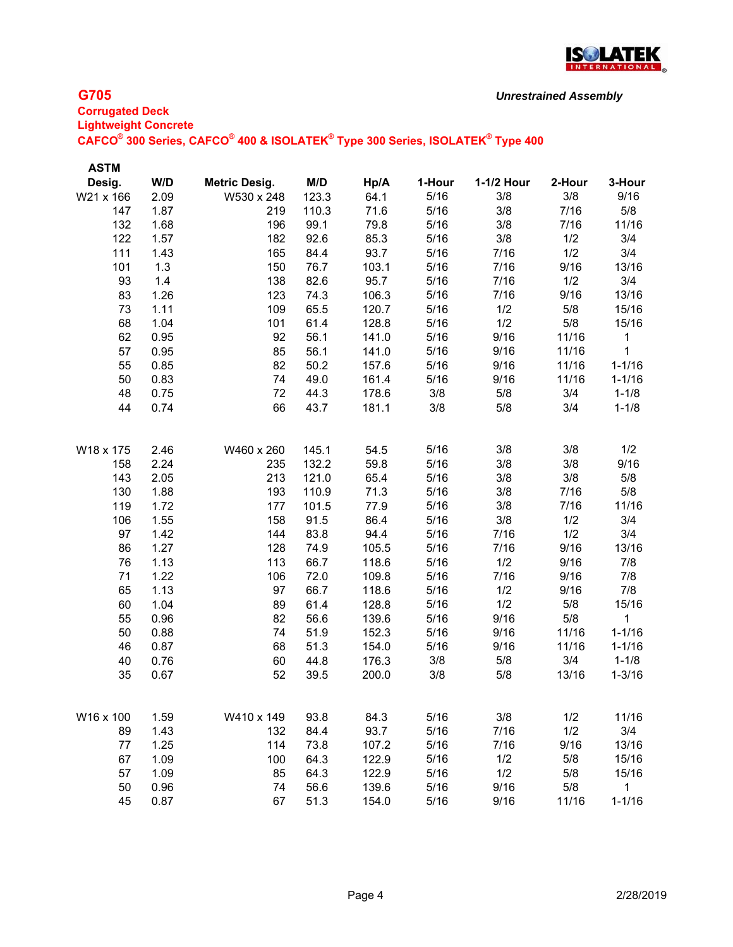

| <b>ASTM</b> |      |                      |       |       |        |            |        |              |
|-------------|------|----------------------|-------|-------|--------|------------|--------|--------------|
| Desig.      | W/D  | <b>Metric Desig.</b> | M/D   | Hp/A  | 1-Hour | 1-1/2 Hour | 2-Hour | 3-Hour       |
| W21 x 166   | 2.09 | W530 x 248           | 123.3 | 64.1  | 5/16   | 3/8        | 3/8    | 9/16         |
| 147         | 1.87 | 219                  | 110.3 | 71.6  | 5/16   | 3/8        | 7/16   | 5/8          |
| 132         | 1.68 | 196                  | 99.1  | 79.8  | 5/16   | 3/8        | 7/16   | 11/16        |
| 122         | 1.57 | 182                  | 92.6  | 85.3  | 5/16   | 3/8        | 1/2    | 3/4          |
| 111         | 1.43 | 165                  | 84.4  | 93.7  | 5/16   | 7/16       | 1/2    | 3/4          |
| 101         | 1.3  | 150                  | 76.7  | 103.1 | 5/16   | 7/16       | 9/16   | 13/16        |
| 93          | 1.4  | 138                  | 82.6  | 95.7  | 5/16   | 7/16       | 1/2    | 3/4          |
| 83          | 1.26 | 123                  | 74.3  | 106.3 | 5/16   | 7/16       | 9/16   | 13/16        |
| 73          | 1.11 | 109                  | 65.5  | 120.7 | 5/16   | 1/2        | 5/8    | 15/16        |
| 68          | 1.04 | 101                  | 61.4  | 128.8 | 5/16   | 1/2        | 5/8    | 15/16        |
| 62          | 0.95 | 92                   | 56.1  | 141.0 | 5/16   | 9/16       | 11/16  | 1            |
| 57          | 0.95 | 85                   | 56.1  | 141.0 | 5/16   | 9/16       | 11/16  | 1            |
| 55          | 0.85 | 82                   | 50.2  | 157.6 | 5/16   | 9/16       | 11/16  | $1 - 1/16$   |
| 50          | 0.83 | 74                   | 49.0  | 161.4 | 5/16   | 9/16       | 11/16  | $1 - 1/16$   |
| 48          | 0.75 | 72                   | 44.3  | 178.6 | 3/8    | 5/8        | 3/4    | $1 - 1/8$    |
| 44          | 0.74 | 66                   | 43.7  | 181.1 | 3/8    | 5/8        | 3/4    | $1 - 1/8$    |
| W18 x 175   | 2.46 | W460 x 260           | 145.1 | 54.5  | 5/16   | 3/8        | 3/8    | 1/2          |
| 158         | 2.24 | 235                  | 132.2 | 59.8  | 5/16   | 3/8        | 3/8    | 9/16         |
| 143         | 2.05 | 213                  | 121.0 | 65.4  | 5/16   | 3/8        | 3/8    | 5/8          |
| 130         | 1.88 | 193                  | 110.9 | 71.3  | 5/16   | 3/8        | 7/16   | 5/8          |
| 119         | 1.72 | 177                  | 101.5 | 77.9  | 5/16   | 3/8        | 7/16   | 11/16        |
| 106         | 1.55 | 158                  | 91.5  | 86.4  | 5/16   | 3/8        | 1/2    | 3/4          |
| 97          | 1.42 | 144                  | 83.8  | 94.4  | 5/16   | 7/16       | 1/2    | 3/4          |
| 86          | 1.27 | 128                  | 74.9  | 105.5 | 5/16   | 7/16       | 9/16   | 13/16        |
| 76          | 1.13 | 113                  | 66.7  | 118.6 | 5/16   | 1/2        | 9/16   | 7/8          |
| 71          | 1.22 | 106                  | 72.0  | 109.8 | 5/16   | 7/16       | 9/16   | 7/8          |
| 65          | 1.13 | 97                   | 66.7  | 118.6 | 5/16   | 1/2        | 9/16   | 7/8          |
| 60          | 1.04 | 89                   | 61.4  | 128.8 | 5/16   | 1/2        | 5/8    | 15/16        |
| 55          | 0.96 | 82                   | 56.6  | 139.6 | 5/16   | 9/16       | 5/8    | 1            |
| 50          | 0.88 | 74                   | 51.9  | 152.3 | 5/16   | 9/16       | 11/16  | $1 - 1/16$   |
| 46          | 0.87 | 68                   | 51.3  | 154.0 | 5/16   | 9/16       | 11/16  | $1 - 1/16$   |
| 40          | 0.76 | 60                   | 44.8  | 176.3 | 3/8    | 5/8        | 3/4    | $1 - 1/8$    |
| 35          | 0.67 | 52                   | 39.5  | 200.0 | 3/8    | 5/8        | 13/16  | $1 - 3/16$   |
| W16 x 100   | 1.59 | W410 x 149           | 93.8  | 84.3  | 5/16   | 3/8        | 1/2    | 11/16        |
| 89          | 1.43 | 132                  | 84.4  | 93.7  | 5/16   | 7/16       | 1/2    | 3/4          |
| 77          | 1.25 | 114                  | 73.8  | 107.2 | 5/16   | 7/16       | 9/16   | 13/16        |
| 67          | 1.09 | 100                  | 64.3  | 122.9 | 5/16   | 1/2        | 5/8    | 15/16        |
| 57          | 1.09 | 85                   | 64.3  | 122.9 | 5/16   | 1/2        | 5/8    | 15/16        |
| 50          | 0.96 | 74                   | 56.6  | 139.6 | 5/16   | 9/16       | 5/8    | $\mathbf{1}$ |
| 45          | 0.87 | 67                   | 51.3  | 154.0 | 5/16   | 9/16       | 11/16  | $1 - 1/16$   |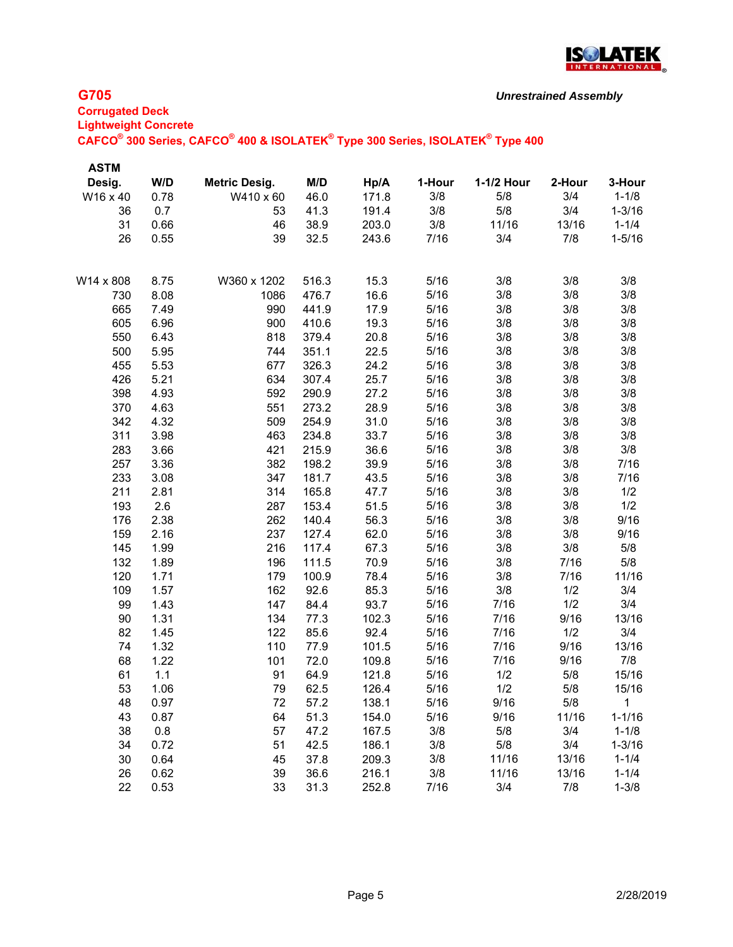

# **Corrugated Deck Lightweight Concrete CAFCO® 300 Series, CAFCO® 400 & ISOLATEK® Type 300 Series, ISOLATEK® Type 400**

| <b>ASTM</b> |      |                      |       |       |        |            |        |              |
|-------------|------|----------------------|-------|-------|--------|------------|--------|--------------|
| Desig.      | W/D  | <b>Metric Desig.</b> | M/D   | Hp/A  | 1-Hour | 1-1/2 Hour | 2-Hour | 3-Hour       |
| W16 x 40    | 0.78 | W410 x 60            | 46.0  | 171.8 | 3/8    | 5/8        | 3/4    | $1 - 1/8$    |
| 36          | 0.7  | 53                   | 41.3  | 191.4 | 3/8    | 5/8        | 3/4    | $1 - 3/16$   |
| 31          | 0.66 | 46                   | 38.9  | 203.0 | 3/8    | 11/16      | 13/16  | $1 - 1/4$    |
| 26          | 0.55 | 39                   | 32.5  | 243.6 | 7/16   | 3/4        | 7/8    | $1 - 5/16$   |
| W14 x 808   | 8.75 | W360 x 1202          | 516.3 | 15.3  | 5/16   | 3/8        | 3/8    | 3/8          |
| 730         | 8.08 | 1086                 | 476.7 | 16.6  | 5/16   | 3/8        | 3/8    | 3/8          |
| 665         | 7.49 | 990                  | 441.9 | 17.9  | 5/16   | 3/8        | 3/8    | 3/8          |
| 605         | 6.96 | 900                  | 410.6 | 19.3  | 5/16   | 3/8        | 3/8    | 3/8          |
| 550         | 6.43 | 818                  | 379.4 | 20.8  | 5/16   | 3/8        | 3/8    | 3/8          |
| 500         | 5.95 | 744                  | 351.1 | 22.5  | 5/16   | 3/8        | 3/8    | 3/8          |
| 455         | 5.53 | 677                  | 326.3 | 24.2  | 5/16   | 3/8        | 3/8    | 3/8          |
| 426         | 5.21 | 634                  | 307.4 | 25.7  | 5/16   | 3/8        | 3/8    | 3/8          |
| 398         | 4.93 | 592                  | 290.9 | 27.2  | 5/16   | 3/8        | 3/8    | 3/8          |
| 370         | 4.63 | 551                  | 273.2 | 28.9  | 5/16   | 3/8        | 3/8    | 3/8          |
| 342         | 4.32 | 509                  | 254.9 | 31.0  | 5/16   | 3/8        | 3/8    | 3/8          |
| 311         | 3.98 | 463                  | 234.8 | 33.7  | 5/16   | 3/8        | 3/8    | 3/8          |
| 283         | 3.66 | 421                  | 215.9 | 36.6  | 5/16   | 3/8        | 3/8    | 3/8          |
| 257         | 3.36 | 382                  | 198.2 | 39.9  | 5/16   | 3/8        | 3/8    | 7/16         |
| 233         | 3.08 | 347                  | 181.7 | 43.5  | 5/16   | 3/8        | 3/8    | 7/16         |
| 211         | 2.81 | 314                  | 165.8 | 47.7  | 5/16   | 3/8        | 3/8    | 1/2          |
| 193         | 2.6  | 287                  | 153.4 | 51.5  | 5/16   | 3/8        | 3/8    | 1/2          |
| 176         | 2.38 | 262                  | 140.4 | 56.3  | 5/16   | 3/8        | 3/8    | 9/16         |
| 159         | 2.16 | 237                  | 127.4 | 62.0  | 5/16   | 3/8        | 3/8    | 9/16         |
| 145         | 1.99 | 216                  | 117.4 | 67.3  | 5/16   | 3/8        | 3/8    | 5/8          |
| 132         | 1.89 | 196                  | 111.5 | 70.9  | 5/16   | 3/8        | 7/16   | 5/8          |
| 120         | 1.71 | 179                  | 100.9 | 78.4  | 5/16   | 3/8        | 7/16   | 11/16        |
| 109         | 1.57 | 162                  | 92.6  | 85.3  | 5/16   | 3/8        | 1/2    | 3/4          |
| 99          | 1.43 | 147                  | 84.4  | 93.7  | 5/16   | 7/16       | 1/2    | 3/4          |
| 90          | 1.31 | 134                  | 77.3  | 102.3 | 5/16   | 7/16       | 9/16   | 13/16        |
| 82          | 1.45 | 122                  | 85.6  | 92.4  | 5/16   | 7/16       | 1/2    | 3/4          |
| 74          | 1.32 | 110                  | 77.9  | 101.5 | 5/16   | 7/16       | 9/16   | 13/16        |
| 68          | 1.22 | 101                  | 72.0  | 109.8 | 5/16   | 7/16       | 9/16   | 7/8          |
| 61          | 1.1  | 91                   | 64.9  | 121.8 | 5/16   | 1/2        | 5/8    | 15/16        |
| 53          | 1.06 | 79                   | 62.5  | 126.4 | 5/16   | 1/2        | 5/8    | 15/16        |
| 48          | 0.97 | 72                   | 57.2  | 138.1 | 5/16   | 9/16       | 5/8    | $\mathbf{1}$ |
| 43          | 0.87 | 64                   | 51.3  | 154.0 | 5/16   | 9/16       | 11/16  | $1 - 1/16$   |
| 38          | 0.8  | 57                   | 47.2  | 167.5 | 3/8    | 5/8        | 3/4    | $1 - 1/8$    |
| 34          | 0.72 | 51                   | 42.5  | 186.1 | 3/8    | 5/8        | 3/4    | $1 - 3/16$   |
| 30          | 0.64 | 45                   | 37.8  | 209.3 | 3/8    | 11/16      | 13/16  | $1 - 1/4$    |
| 26          | 0.62 | 39                   | 36.6  | 216.1 | 3/8    | 11/16      | 13/16  | $1 - 1/4$    |
| 22          | 0.53 | 33                   | 31.3  | 252.8 | 7/16   | 3/4        | 7/8    | $1 - 3/8$    |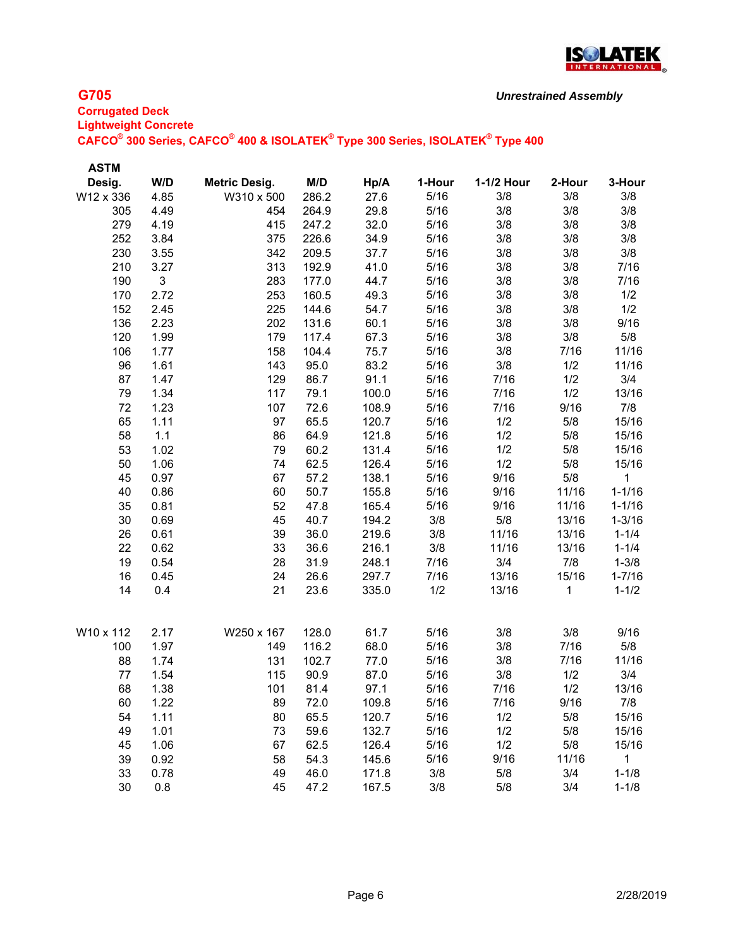

| <b>ASTM</b> |      |                      |       |       |        |            |        |              |
|-------------|------|----------------------|-------|-------|--------|------------|--------|--------------|
| Desig.      | W/D  | <b>Metric Desig.</b> | M/D   | Hp/A  | 1-Hour | 1-1/2 Hour | 2-Hour | 3-Hour       |
| W12 x 336   | 4.85 | W310 x 500           | 286.2 | 27.6  | 5/16   | 3/8        | 3/8    | 3/8          |
| 305         | 4.49 | 454                  | 264.9 | 29.8  | 5/16   | 3/8        | 3/8    | 3/8          |
| 279         | 4.19 | 415                  | 247.2 | 32.0  | 5/16   | 3/8        | 3/8    | 3/8          |
| 252         | 3.84 | 375                  | 226.6 | 34.9  | 5/16   | 3/8        | 3/8    | 3/8          |
| 230         | 3.55 | 342                  | 209.5 | 37.7  | 5/16   | 3/8        | 3/8    | 3/8          |
| 210         | 3.27 | 313                  | 192.9 | 41.0  | 5/16   | 3/8        | 3/8    | 7/16         |
| 190         | 3    | 283                  | 177.0 | 44.7  | 5/16   | 3/8        | 3/8    | 7/16         |
| 170         | 2.72 | 253                  | 160.5 | 49.3  | 5/16   | 3/8        | 3/8    | 1/2          |
| 152         | 2.45 | 225                  | 144.6 | 54.7  | 5/16   | 3/8        | 3/8    | 1/2          |
| 136         | 2.23 | 202                  | 131.6 | 60.1  | 5/16   | 3/8        | 3/8    | 9/16         |
| 120         | 1.99 | 179                  | 117.4 | 67.3  | 5/16   | 3/8        | 3/8    | 5/8          |
| 106         | 1.77 | 158                  | 104.4 | 75.7  | 5/16   | 3/8        | 7/16   | 11/16        |
| 96          | 1.61 | 143                  | 95.0  | 83.2  | 5/16   | 3/8        | 1/2    | 11/16        |
| 87          | 1.47 | 129                  | 86.7  | 91.1  | 5/16   | 7/16       | 1/2    | 3/4          |
| 79          | 1.34 | 117                  | 79.1  | 100.0 | 5/16   | 7/16       | 1/2    | 13/16        |
| 72          | 1.23 | 107                  | 72.6  | 108.9 | 5/16   | 7/16       | 9/16   | 7/8          |
| 65          | 1.11 | 97                   | 65.5  | 120.7 | 5/16   | 1/2        | 5/8    | 15/16        |
| 58          | 1.1  | 86                   | 64.9  | 121.8 | 5/16   | 1/2        | 5/8    | 15/16        |
| 53          | 1.02 | 79                   | 60.2  | 131.4 | 5/16   | 1/2        | 5/8    | 15/16        |
| 50          | 1.06 | 74                   | 62.5  | 126.4 | 5/16   | 1/2        | 5/8    | 15/16        |
| 45          | 0.97 | 67                   | 57.2  | 138.1 | 5/16   | 9/16       | 5/8    | 1            |
| 40          | 0.86 | 60                   | 50.7  | 155.8 | 5/16   | 9/16       | 11/16  | $1 - 1/16$   |
| 35          | 0.81 | 52                   | 47.8  | 165.4 | 5/16   | 9/16       | 11/16  | $1 - 1/16$   |
| 30          | 0.69 | 45                   | 40.7  | 194.2 | 3/8    | 5/8        | 13/16  | $1 - 3/16$   |
| 26          | 0.61 | 39                   | 36.0  | 219.6 | 3/8    | 11/16      | 13/16  | $1 - 1/4$    |
| 22          | 0.62 | 33                   | 36.6  | 216.1 | 3/8    | 11/16      | 13/16  | $1 - 1/4$    |
| 19          | 0.54 | 28                   | 31.9  | 248.1 | 7/16   | 3/4        | 7/8    | $1 - 3/8$    |
| 16          | 0.45 | 24                   | 26.6  | 297.7 | 7/16   | 13/16      | 15/16  | $1 - 7/16$   |
| 14          | 0.4  | 21                   | 23.6  | 335.0 | 1/2    | 13/16      | 1      | $1 - 1/2$    |
| W10 x 112   | 2.17 | W250 x 167           | 128.0 | 61.7  | 5/16   | 3/8        | 3/8    | 9/16         |
| 100         | 1.97 | 149                  | 116.2 | 68.0  | 5/16   | 3/8        | 7/16   | 5/8          |
| 88          | 1.74 | 131                  | 102.7 | 77.0  | 5/16   | 3/8        | 7/16   | 11/16        |
| 77          | 1.54 | 115                  | 90.9  | 87.0  | 5/16   | 3/8        | 1/2    | 3/4          |
| 68          | 1.38 | 101                  | 81.4  | 97.1  | 5/16   | 7/16       | 1/2    | 13/16        |
| 60          | 1.22 | 89                   | 72.0  | 109.8 | 5/16   | 7/16       | 9/16   | 7/8          |
| 54          | 1.11 | 80                   | 65.5  | 120.7 | 5/16   | 1/2        | 5/8    | 15/16        |
| 49          | 1.01 | 73                   | 59.6  | 132.7 | 5/16   | 1/2        | 5/8    | 15/16        |
| 45          | 1.06 | 67                   | 62.5  | 126.4 | 5/16   | 1/2        | 5/8    | 15/16        |
| 39          | 0.92 | 58                   | 54.3  | 145.6 | 5/16   | 9/16       | 11/16  | $\mathbf{1}$ |
| 33          | 0.78 | 49                   | 46.0  | 171.8 | 3/8    | 5/8        | 3/4    | $1 - 1/8$    |
| 30          | 0.8  | 45                   | 47.2  | 167.5 | 3/8    | 5/8        | 3/4    | $1 - 1/8$    |